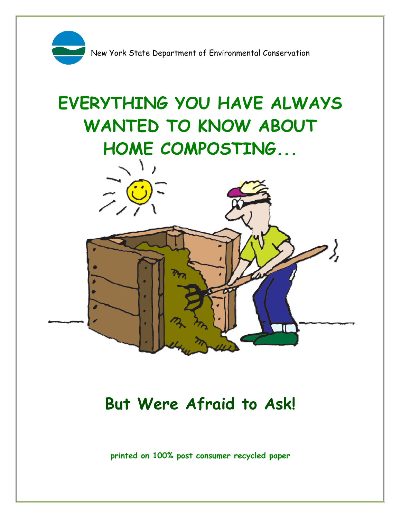

# **EVERYTHING YOU HAVE ALWAYS WANTED TO KNOW ABOUT HOME COMPOSTING...**



# **But Were Afraid to Ask!**

**printed on 100% post consumer recycled paper**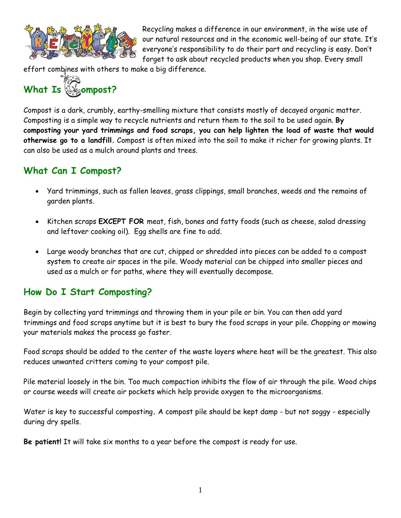

Recycling makes a difference in our environment, in the wise use of our natural resources and in the economic well-being of our state. It's everyone's responsibility to do their part and recycling is easy. Don't forget to ask about recycled products when you shop. Every small

effort combines with others to make a big difference.



Compost is a dark, crumbly, earthy-smelling mixture that consists mostly of decayed organic matter. Composting is a simple way to recycle nutrients and return them to the soil to be used again. **By composting your yard trimmings and food scraps, you can help lighten the load of waste that would otherwise go to a landfill.** Compost is often mixed into the soil to make it richer for growing plants. It can also be used as a mulch around plants and trees.

# **What Can I Compost?**

- Yard trimmings, such as fallen leaves, grass clippings, small branches, weeds and the remains of garden plants.
- Kitchen scraps **EXCEPT FOR** meat, fish, bones and fatty foods (such as cheese, salad dressing and leftover cooking oil). Egg shells are fine to add.
- Large woody branches that are cut, chipped or shredded into pieces can be added to a compost system to create air spaces in the pile. Woody material can be chipped into smaller pieces and used as a mulch or for paths, where they will eventually decompose.

# **How Do I Start Composting?**

Begin by collecting yard trimmings and throwing them in your pile or bin. You can then add yard trimmings and food scraps anytime but it is best to bury the food scraps in your pile. Chopping or mowing your materials makes the process go faster.

Food scraps should be added to the center of the waste layers where heat will be the greatest. This also reduces unwanted critters coming to your compost pile.

Pile material loosely in the bin. Too much compaction inhibits the flow of air through the pile. Wood chips or course weeds will create air pockets which help provide oxygen to the microorganisms.

Water is key to successful composting**.** A compost pile should be kept damp - but not soggy - especially during dry spells.

**Be patient!** It will take six months to a year before the compost is ready for use.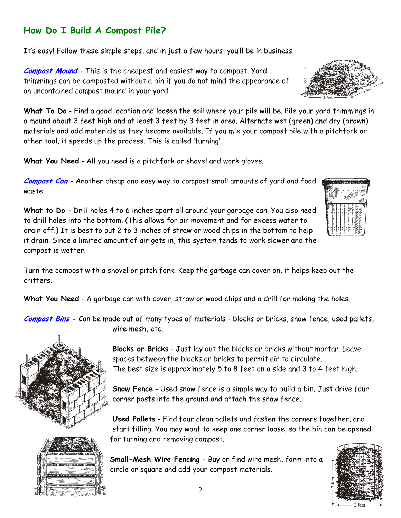# **How Do I Build A Compost Pile?**

It's easy! Follow these simple steps, and in just a few hours, you'll be in business.

**Compost Mound** - This is the cheapest and easiest way to compost. Yard trimmings can be composted without a bin if you do not mind the appearance of an uncontained compost mound in your yard.

**What To Do** - Find a good location and loosen the soil where your pile will be. Pile your yard trimmings in a mound about 3 feet high and at least 3 feet by 3 feet in area. Alternate wet (green) and dry (brown) materials and add materials as they become available. If you mix your compost pile with a pitchfork or other tool, it speeds up the process. This is called 'turning'.

**What You Need** - All you need is a pitchfork or shovel and work gloves.

**Compost Can** - Another cheap and easy way to compost small amounts of yard and food waste.

**What to Do** - Drill holes 4 to 6 inches apart all around your garbage can. You also need to drill holes into the bottom. (This allows for air movement and for excess water to drain off.) It is best to put 2 to 3 inches of straw or wood chips in the bottom to help it drain. Since a limited amount of air gets in, this system tends to work slower and the compost is wetter.

Turn the compost with a shovel or pitch fork. Keep the garbage can cover on, it helps keep out the critters.

**What You Need** - A garbage can with cover, straw or wood chips and a drill for making the holes.

**Compost Bins -** Can be made out of many types of materials - blocks or bricks, snow fence, used pallets, wire mesh, etc.



**Blocks or Bricks** - Just lay out the blocks or bricks without mortar. Leave spaces between the blocks or bricks to permit air to circulate. The best size is approximately 5 to 8 feet on a side and 3 to 4 feet high.

**Snow Fence** - Used snow fence is a simple way to build a bin. Just drive four corner posts into the ground and attach the snow fence.

**Used Pallets** - Find four clean pallets and fasten the corners together, and start filling. You may want to keep one corner loose, so the bin can be opened for turning and removing compost.

**Small-Mesh Wire Fencing** - Buy or find wire mesh, form into a circle or square and add your compost materials.







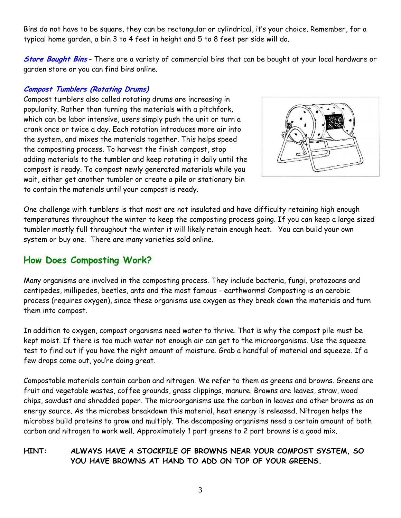Bins do not have to be square, they can be rectangular or cylindrical, it's your choice. Remember, for a typical home garden, a bin 3 to 4 feet in height and 5 to 8 feet per side will do.

**Store Bought Bins** - There are a variety of commercial bins that can be bought at your local hardware or garden store or you can find bins online.

#### **Compost Tumblers (Rotating Drums)**

Compost tumblers also called rotating drums are increasing in popularity. Rather than turning the materials with a pitchfork, which can be labor intensive, users simply push the unit or turn a crank once or twice a day. Each rotation introduces more air into the system, and mixes the materials together. This helps speed the composting process. To harvest the finish compost, stop adding materials to the tumbler and keep rotating it daily until the compost is ready. To compost newly generated materials while you wait, either get another tumbler or create a pile or stationary bin to contain the materials until your compost is ready.



One challenge with tumblers is that most are not insulated and have difficulty retaining high enough temperatures throughout the winter to keep the composting process going. If you can keep a large sized tumbler mostly full throughout the winter it will likely retain enough heat. You can build your own system or buy one. There are many varieties sold online.

# **How Does Composting Work?**

Many organisms are involved in the composting process. They include bacteria, fungi, protozoans and centipedes, millipedes, beetles, ants and the most famous - earthworms! Composting is an aerobic process (requires oxygen), since these organisms use oxygen as they break down the materials and turn them into compost.

In addition to oxygen, compost organisms need water to thrive. That is why the compost pile must be kept moist. If there is too much water not enough air can get to the microorganisms. Use the squeeze test to find out if you have the right amount of moisture. Grab a handful of material and squeeze. If a few drops come out, you're doing great.

Compostable materials contain carbon and nitrogen. We refer to them as greens and browns. Greens are fruit and vegetable wastes, coffee grounds, grass clippings, manure. Browns are leaves, straw, wood chips, sawdust and shredded paper. The microorganisms use the carbon in leaves and other browns as an energy source. As the microbes breakdown this material, heat energy is released. Nitrogen helps the microbes build proteins to grow and multiply. The decomposing organisms need a certain amount of both carbon and nitrogen to work well. Approximately 1 part greens to 2 part browns is a good mix.

## **HINT: ALWAYS HAVE A STOCKPILE OF BROWNS NEAR YOUR COMPOST SYSTEM, SO YOU HAVE BROWNS AT HAND TO ADD ON TOP OF YOUR GREENS.**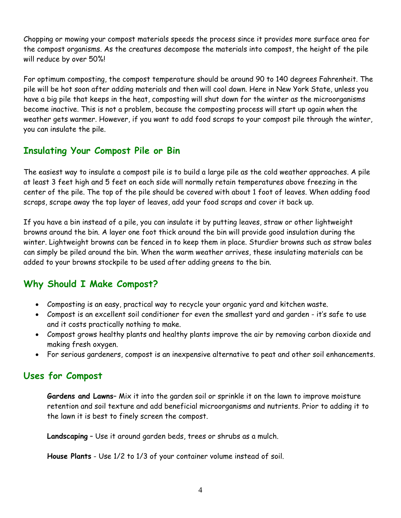Chopping or mowing your compost materials speeds the process since it provides more surface area for the compost organisms. As the creatures decompose the materials into compost, the height of the pile will reduce by over 50%!

For optimum composting, the compost temperature should be around 90 to 140 degrees Fahrenheit. The pile will be hot soon after adding materials and then will cool down. Here in New York State, unless you have a big pile that keeps in the heat, composting will shut down for the winter as the microorganisms become inactive. This is not a problem, because the composting process will start up again when the weather gets warmer. However, if you want to add food scraps to your compost pile through the winter, you can insulate the pile.

# **Insulating Your Compost Pile or Bin**

The easiest way to insulate a compost pile is to build a large pile as the cold weather approaches. A pile at least 3 feet high and 5 feet on each side will normally retain temperatures above freezing in the center of the pile. The top of the pile should be covered with about 1 foot of leaves. When adding food scraps, scrape away the top layer of leaves, add your food scraps and cover it back up.

If you have a bin instead of a pile, you can insulate it by putting leaves, straw or other lightweight browns around the bin. A layer one foot thick around the bin will provide good insulation during the winter. Lightweight browns can be fenced in to keep them in place. Sturdier browns such as straw bales can simply be piled around the bin. When the warm weather arrives, these insulating materials can be added to your browns stockpile to be used after adding greens to the bin.

# **Why Should I Make Compost?**

- Composting is an easy, practical way to recycle your organic yard and kitchen waste.
- Compost is an excellent soil conditioner for even the smallest yard and garden it's safe to use and it costs practically nothing to make.
- Compost grows healthy plants and healthy plants improve the air by removing carbon dioxide and making fresh oxygen.
- For serious gardeners, compost is an inexpensive alternative to peat and other soil enhancements.

## **Uses for Compost**

**Gardens and Lawns**– Mix it into the garden soil or sprinkle it on the lawn to improve moisture retention and soil texture and add beneficial microorganisms and nutrients. Prior to adding it to the lawn it is best to finely screen the compost.

**Landscaping** – Use it around garden beds, trees or shrubs as a mulch.

 **House Plants** - Use 1/2 to 1/3 of your container volume instead of soil.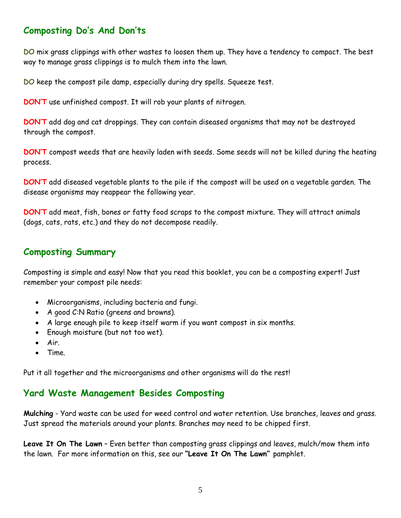# **Composting Do's And Don'ts**

**DO** mix grass clippings with other wastes to loosen them up. They have a tendency to compact. The best way to manage grass clippings is to mulch them into the lawn.

**DO** keep the compost pile damp, especially during dry spells. Squeeze test.

**DON'T** use unfinished compost. It will rob your plants of nitrogen.

**DON'T** add dog and cat droppings. They can contain diseased organisms that may not be destroyed through the compost.

**DON'T** compost weeds that are heavily laden with seeds. Some seeds will not be killed during the heating process.

**DON'T** add diseased vegetable plants to the pile if the compost will be used on a vegetable garden. The disease organisms may reappear the following year.

**DON'T** add meat, fish, bones or fatty food scraps to the compost mixture. They will attract animals (dogs, cats, rats, etc.) and they do not decompose readily.

## **Composting Summary**

Composting is simple and easy! Now that you read this booklet, you can be a composting expert! Just remember your compost pile needs:

- Microorganisms, including bacteria and fungi.
- A good C:N Ratio (greens and browns).
- A large enough pile to keep itself warm if you want compost in six months.
- Enough moisture (but not too wet).
- Air.
- Time.

Put it all together and the microorganisms and other organisms will do the rest!

## **Yard Waste Management Besides Composting**

**Mulching** - Yard waste can be used for weed control and water retention. Use branches, leaves and grass. Just spread the materials around your plants. Branches may need to be chipped first.

**Leave It On The Lawn** – Even better than composting grass clippings and leaves, mulch/mow them into the lawn. For more information on this, see our **"Leave It On The Lawn"** pamphlet.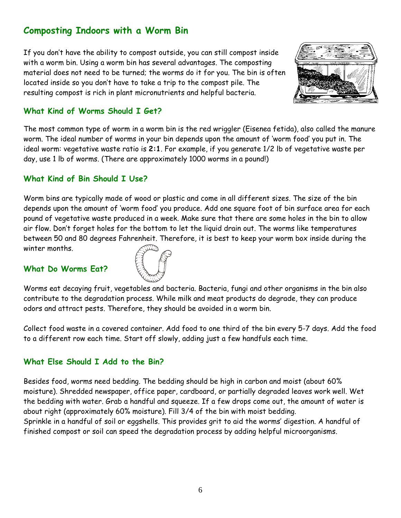# **Composting Indoors with a Worm Bin**

If you don't have the ability to compost outside, you can still compost inside with a worm bin. Using a worm bin has several advantages. The composting material does not need to be turned; the worms do it for you. The bin is often located inside so you don't have to take a trip to the compost pile. The resulting compost is rich in plant micronutrients and helpful bacteria.



## **What Kind of Worms Should I Get?**

The most common type of worm in a worm bin is the red wriggler (Eisenea fetida), also called the manure worm. The ideal number of worms in your bin depends upon the amount of 'worm food' you put in. The ideal worm: vegetative waste ratio is **2:1**. For example, if you generate 1/2 lb of vegetative waste per day, use 1 lb of worms. (There are approximately 1000 worms in a pound!)

### **What Kind of Bin Should I Use?**

Worm bins are typically made of wood or plastic and come in all different sizes. The size of the bin depends upon the amount of 'worm food' you produce. Add one square foot of bin surface area for each pound of vegetative waste produced in a week. Make sure that there are some holes in the bin to allow air flow. Don't forget holes for the bottom to let the liquid drain out. The worms like temperatures between 50 and 80 degrees Fahrenheit. Therefore, it is best to keep your worm box inside during the winter months.

#### **What Do Worms Eat?**



Worms eat decaying fruit, vegetables and bacteria. Bacteria, fungi and other organisms in the bin also contribute to the degradation process. While milk and meat products do degrade, they can produce odors and attract pests. Therefore, they should be avoided in a worm bin.

Collect food waste in a covered container. Add food to one third of the bin every 5-7 days. Add the food to a different row each time. Start off slowly, adding just a few handfuls each time.

## **What Else Should I Add to the Bin?**

Besides food, worms need bedding. The bedding should be high in carbon and moist (about 60% moisture). Shredded newspaper, office paper, cardboard, or partially degraded leaves work well. Wet the bedding with water. Grab a handful and squeeze. If a few drops come out, the amount of water is about right (approximately 60% moisture). Fill 3/4 of the bin with moist bedding.

Sprinkle in a handful of soil or eggshells. This provides grit to aid the worms' digestion. A handful of finished compost or soil can speed the degradation process by adding helpful microorganisms.